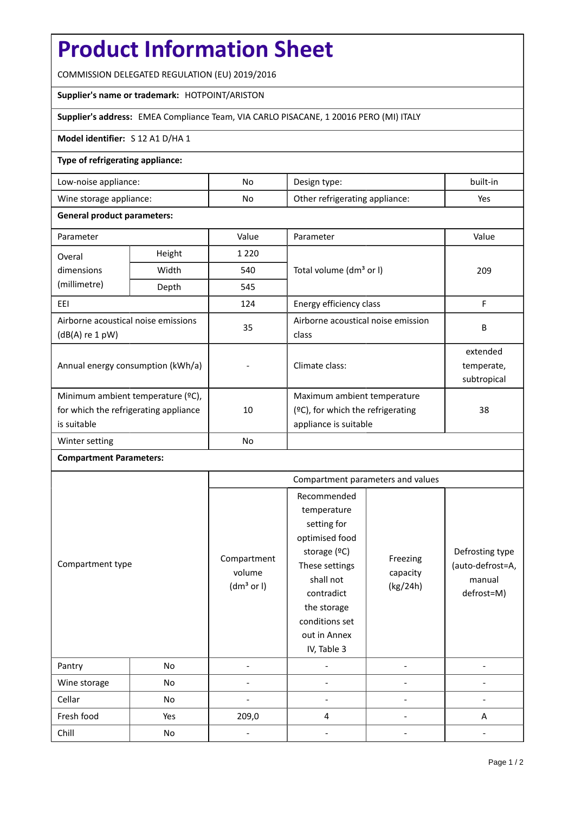# **Product Information Sheet**

COMMISSION DELEGATED REGULATION (EU) 2019/2016

#### **Supplier's name or trademark:** HOTPOINT/ARISTON

# **Supplier's address:** EMEA Compliance Team, VIA CARLO PISACANE, 1 20016 PERO (MI) ITALY

### **Model identifier:** S 12 A1 D/HA 1

#### **Type of refrigerating appliance:**

| Low-noise appliance:    | No. | Design type:                   | built-in |
|-------------------------|-----|--------------------------------|----------|
| Wine storage appliance: | No  | Other refrigerating appliance: | Yes      |

#### **General product parameters:**

| Parameter                                                |                   | Value     | Parameter                            | Value      |  |
|----------------------------------------------------------|-------------------|-----------|--------------------------------------|------------|--|
| Overal                                                   | Height<br>1 2 2 0 |           |                                      |            |  |
| dimensions<br>(millimetre)                               | Width             | 540       | Total volume (dm <sup>3</sup> or I)  | 209        |  |
|                                                          | Depth             | 545       |                                      |            |  |
| EEI                                                      |                   | 124       | Energy efficiency class              | F          |  |
| Airborne acoustical noise emissions<br>$(dB(A)$ re 1 pW) |                   | 35        | Airborne acoustical noise emission   | B          |  |
|                                                          |                   |           | class                                |            |  |
| Annual energy consumption (kWh/a)                        |                   |           | Climate class:                       | extended   |  |
|                                                          |                   |           |                                      | temperate, |  |
|                                                          |                   |           | subtropical                          |            |  |
| Minimum ambient temperature (°C),                        |                   |           | Maximum ambient temperature          |            |  |
| for which the refrigerating appliance<br>is suitable     |                   | 10        | $(°C)$ , for which the refrigerating | 38         |  |
|                                                          |                   |           | appliance is suitable                |            |  |
| Winter setting                                           |                   | <b>No</b> |                                      |            |  |

# **Compartment Parameters:**

| Compartment type |     | Compartment parameters and values               |                                                                                                                                                                                          |                                  |                                                             |
|------------------|-----|-------------------------------------------------|------------------------------------------------------------------------------------------------------------------------------------------------------------------------------------------|----------------------------------|-------------------------------------------------------------|
|                  |     | Compartment<br>volume<br>(dm <sup>3</sup> or I) | Recommended<br>temperature<br>setting for<br>optimised food<br>storage (°C)<br>These settings<br>shall not<br>contradict<br>the storage<br>conditions set<br>out in Annex<br>IV, Table 3 | Freezing<br>capacity<br>(kg/24h) | Defrosting type<br>(auto-defrost=A,<br>manual<br>defrost=M) |
| Pantry           | No  |                                                 |                                                                                                                                                                                          |                                  |                                                             |
| Wine storage     | No  |                                                 |                                                                                                                                                                                          |                                  |                                                             |
| Cellar           | No  |                                                 |                                                                                                                                                                                          |                                  |                                                             |
| Fresh food       | Yes | 209,0                                           | 4                                                                                                                                                                                        |                                  | A                                                           |
| Chill            | No  |                                                 |                                                                                                                                                                                          |                                  |                                                             |